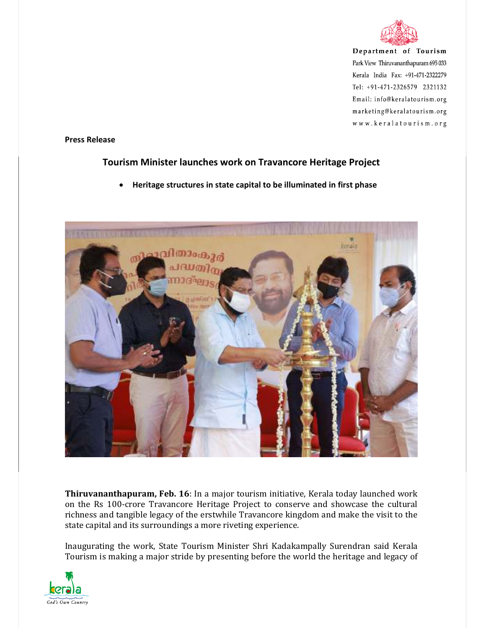

Department of Tourism Park View Thiruvananthapuram 695 033 Kerala India Fax: +91-471-2322279 Tel: +91-471-2326579 2321132 Email: info@keralatourism.org marketing@keralatourism.org www.keralatourism.org

**Press Release** 

## **Tourism Minister launches work on Travancore Heritage Project**

**Heritage structures in state capital to be illuminated in first phase** 



**Thiruvananthapuram, Feb. 16**: In a major tourism initiative, Kerala today launched work on the Rs 100-crore Travancore Heritage Project to conserve and showcase the cultural richness and tangible legacy of the erstwhile Travancore kingdom and make the visit to the state capital and its surroundings a more riveting experience.

Inaugurating the work, State Tourism Minister Shri Kadakampally Surendran said Kerala Tourism is making a major stride by presenting before the world the heritage and legacy of